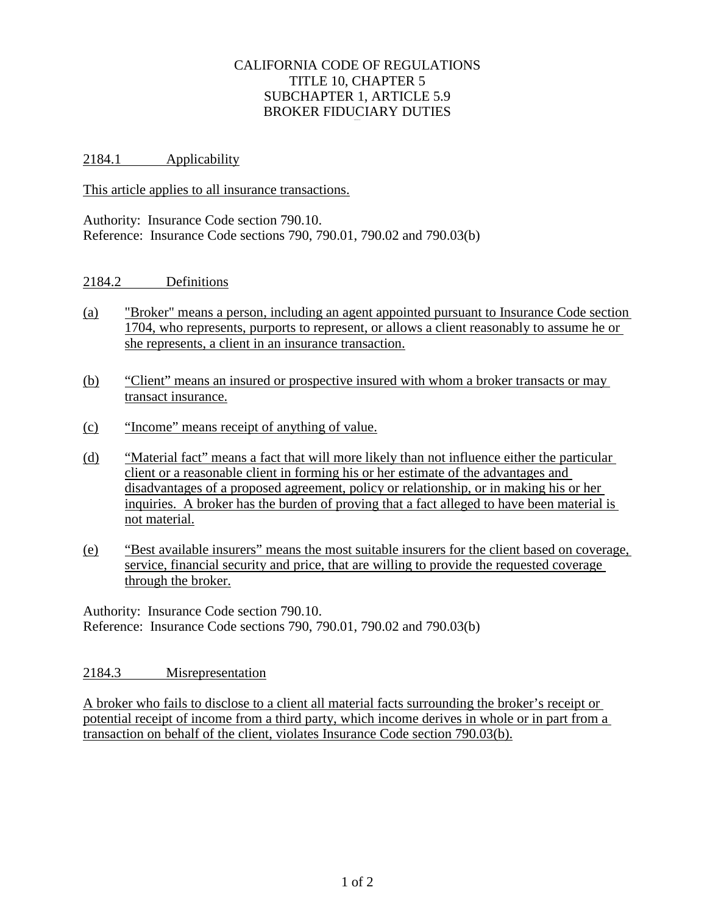## CALIFORNIA CODE OF REGULATIONS TITLE 10, CHAPTER 5 SUBCHAPTER 1, ARTICLE 5.9 BROKER FIDUCIARY DUTIES

2184.1 Applicability

This article applies to all insurance transactions.

Authority: Insurance Code section 790.10. Reference: Insurance Code sections 790, 790.01, 790.02 and 790.03(b)

## 2184.2 Definitions

- (a) "Broker" means a person, including an agent appointed pursuant to Insurance Code section 1704, who represents, purports to represent, or allows a client reasonably to assume he or she represents, a client in an insurance transaction.
- (b) "Client" means an insured or prospective insured with whom a broker transacts or may transact insurance.
- (c) "Income" means receipt of anything of value.
- (d) "Material fact" means a fact that will more likely than not influence either the particular client or a reasonable client in forming his or her estimate of the advantages and disadvantages of a proposed agreement, policy or relationship, or in making his or her inquiries. A broker has the burden of proving that a fact alleged to have been material is not material.
- (e) "Best available insurers" means the most suitable insurers for the client based on coverage, service, financial security and price, that are willing to provide the requested coverage through the broker.

Authority: Insurance Code section 790.10. Reference: Insurance Code sections 790, 790.01, 790.02 and 790.03(b)

## 2184.3 Misrepresentation

A broker who fails to disclose to a client all material facts surrounding the broker's receipt or potential receipt of income from a third party, which income derives in whole or in part from a transaction on behalf of the client, violates Insurance Code section 790.03(b).